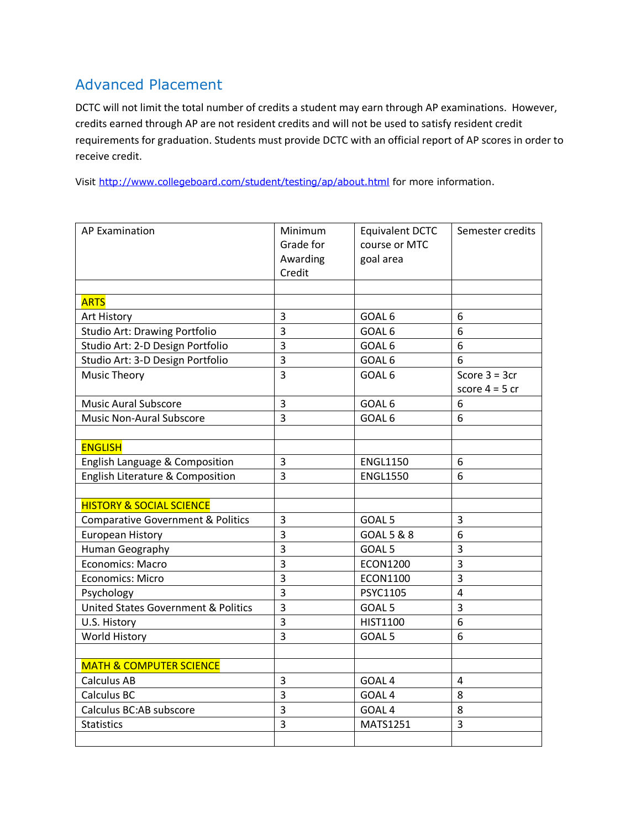## Advanced Placement

DCTC will not limit the total number of credits a student may earn through AP examinations. However, credits earned through AP are not resident credits and will not be used to satisfy resident credit requirements for graduation. Students must provide DCTC with an official report of AP scores in order to receive credit.

Visit<http://www.collegeboard.com/student/testing/ap/about.html> for more information.

| <b>AP Examination</b>                          | Minimum<br>Grade for<br>Awarding<br>Credit | <b>Equivalent DCTC</b><br>course or MTC<br>goal area | Semester credits                     |
|------------------------------------------------|--------------------------------------------|------------------------------------------------------|--------------------------------------|
| <b>ARTS</b>                                    |                                            |                                                      |                                      |
| Art History                                    | 3                                          | GOAL 6                                               | 6                                    |
| <b>Studio Art: Drawing Portfolio</b>           | 3                                          | GOAL <sub>6</sub>                                    | 6                                    |
| Studio Art: 2-D Design Portfolio               | 3                                          | GOAL 6                                               | 6                                    |
| Studio Art: 3-D Design Portfolio               | 3                                          | GOAL 6                                               | 6                                    |
| <b>Music Theory</b>                            | 3                                          | GOAL 6                                               | Score $3 = 3$ cr<br>score $4 = 5$ cr |
| <b>Music Aural Subscore</b>                    | 3                                          | GOAL 6                                               | 6                                    |
| <b>Music Non-Aural Subscore</b>                | $\overline{3}$                             | GOAL 6                                               | 6                                    |
|                                                |                                            |                                                      |                                      |
| <b>ENGLISH</b>                                 |                                            |                                                      |                                      |
| English Language & Composition                 | 3                                          | <b>ENGL1150</b>                                      | 6                                    |
| English Literature & Composition               | $\overline{3}$                             | <b>ENGL1550</b>                                      | 6                                    |
|                                                |                                            |                                                      |                                      |
| <b>HISTORY &amp; SOCIAL SCIENCE</b>            |                                            |                                                      |                                      |
| <b>Comparative Government &amp; Politics</b>   | 3                                          | GOAL <sub>5</sub>                                    | 3                                    |
| <b>European History</b>                        | $\overline{3}$                             | GOAL 5 & 8                                           | 6                                    |
| Human Geography                                | $\overline{3}$                             | GOAL <sub>5</sub>                                    | 3                                    |
| Economics: Macro                               | $\overline{3}$                             | <b>ECON1200</b>                                      | 3                                    |
| Economics: Micro                               | 3                                          | <b>ECON1100</b>                                      | 3                                    |
| Psychology                                     | 3                                          | <b>PSYC1105</b>                                      | $\overline{4}$                       |
| <b>United States Government &amp; Politics</b> | $\overline{3}$                             | GOAL <sub>5</sub>                                    | 3                                    |
| U.S. History                                   | 3                                          | <b>HIST1100</b>                                      | 6                                    |
| <b>World History</b>                           | 3                                          | GOAL <sub>5</sub>                                    | 6                                    |
|                                                |                                            |                                                      |                                      |
| <b>MATH &amp; COMPUTER SCIENCE</b>             |                                            |                                                      |                                      |
| <b>Calculus AB</b>                             | 3                                          | GOAL <sub>4</sub>                                    | 4                                    |
| Calculus BC                                    | $\overline{3}$                             | GOAL <sub>4</sub>                                    | 8                                    |
| Calculus BC:AB subscore                        | 3                                          | GOAL <sub>4</sub>                                    | 8                                    |
| <b>Statistics</b>                              | 3                                          | MATS1251                                             | 3                                    |
|                                                |                                            |                                                      |                                      |